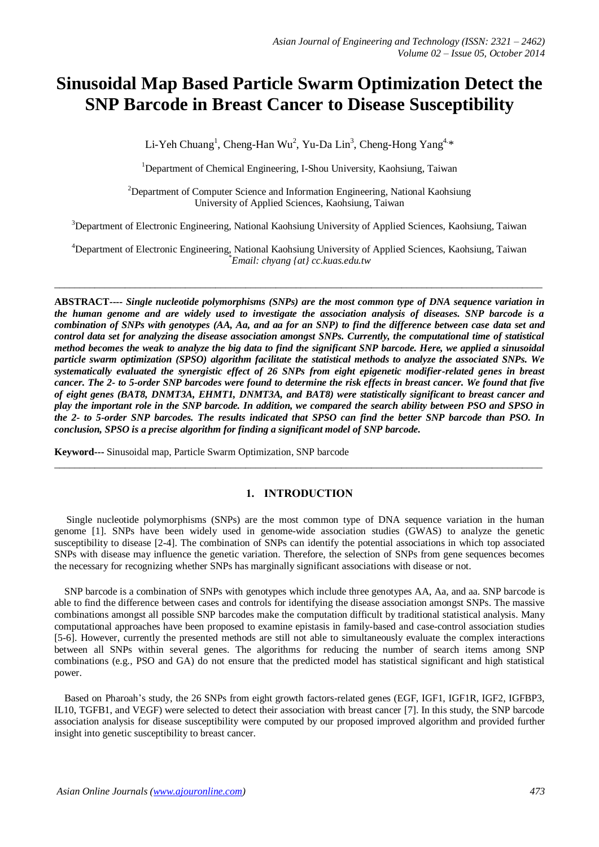# **Sinusoidal Map Based Particle Swarm Optimization Detect the SNP Barcode in Breast Cancer to Disease Susceptibility**

Li-Yeh Chuang<sup>1</sup>, Cheng-Han Wu<sup>2</sup>, Yu-Da Lin<sup>3</sup>, Cheng-Hong Yang<sup>4.\*</sup>

<sup>1</sup>Department of Chemical Engineering, I-Shou University, Kaohsiung, Taiwan

<sup>2</sup>Department of Computer Science and Information Engineering, National Kaohsiung University of Applied Sciences, Kaohsiung, Taiwan

<sup>3</sup>Department of Electronic Engineering, National Kaohsiung University of Applied Sciences, Kaohsiung, Taiwan

<sup>4</sup>Department of Electronic Engineering, National Kaohsiung University of Applied Sciences, Kaohsiung, Taiwan *\*Email: chyang {at} cc.kuas.edu.tw*

 $\_$  ,  $\_$  ,  $\_$  ,  $\_$  ,  $\_$  ,  $\_$  ,  $\_$  ,  $\_$  ,  $\_$  ,  $\_$  ,  $\_$  ,  $\_$  ,  $\_$  ,  $\_$  ,  $\_$  ,  $\_$  ,  $\_$  ,  $\_$  ,  $\_$  ,  $\_$  ,  $\_$  ,  $\_$  ,  $\_$  ,  $\_$  ,  $\_$  ,  $\_$  ,  $\_$  ,  $\_$  ,  $\_$  ,  $\_$  ,  $\_$  ,  $\_$  ,  $\_$  ,  $\_$  ,  $\_$  ,  $\_$  ,  $\_$  ,

**ABSTRACT----** *Single nucleotide polymorphisms (SNPs) are the most common type of DNA sequence variation in the human genome and are widely used to investigate the association analysis of diseases. SNP barcode is a combination of SNPs with genotypes (AA, Aa, and aa for an SNP) to find the difference between case data set and control data set for analyzing the disease association amongst SNPs. Currently, the computational time of statistical method becomes the weak to analyze the big data to find the significant SNP barcode. Here, we applied a sinusoidal particle swarm optimization (SPSO) algorithm facilitate the statistical methods to analyze the associated SNPs. We systematically evaluated the synergistic effect of 26 SNPs from eight epigenetic modifier-related genes in breast cancer. The 2- to 5-order SNP barcodes were found to determine the risk effects in breast cancer. We found that five of eight genes (BAT8, DNMT3A, EHMT1, DNMT3A, and BAT8) were statistically significant to breast cancer and play the important role in the SNP barcode. In addition, we compared the search ability between PSO and SPSO in the 2- to 5-order SNP barcodes. The results indicated that SPSO can find the better SNP barcode than PSO. In conclusion, SPSO is a precise algorithm for finding a significant model of SNP barcode.*

**Keyword---** Sinusoidal map, Particle Swarm Optimization, SNP barcode

# **1. INTRODUCTION**

\_\_\_\_\_\_\_\_\_\_\_\_\_\_\_\_\_\_\_\_\_\_\_\_\_\_\_\_\_\_\_\_\_\_\_\_\_\_\_\_\_\_\_\_\_\_\_\_\_\_\_\_\_\_\_\_\_\_\_\_\_\_\_\_\_\_\_\_\_\_\_\_\_\_\_\_\_\_\_\_\_\_\_\_\_\_\_\_\_\_\_\_\_\_\_\_\_

Single nucleotide polymorphisms (SNPs) are the most common type of DNA sequence variation in the human genome [\[1\]](#page-4-0). SNPs have been widely used in genome-wide association studies (GWAS) to analyze the genetic susceptibility to disease [\[2-4\]](#page-4-1). The combination of SNPs can identify the potential associations in which top associated SNPs with disease may influence the genetic variation. Therefore, the selection of SNPs from gene sequences becomes the necessary for recognizing whether SNPs has marginally significant associations with disease or not.

SNP barcode is a combination of SNPs with genotypes which include three genotypes AA, Aa, and aa. SNP barcode is able to find the difference between cases and controls for identifying the disease association amongst SNPs. The massive combinations amongst all possible SNP barcodes make the computation difficult by traditional statistical analysis. Many computational approaches have been proposed to examine epistasis in family-based and case-control association studies [\[5-](#page-4-2)6]. However, currently the presented methods are still not able to simultaneously evaluate the complex interactions between all SNPs within several genes. The algorithms for reducing the number of search items among SNP combinations (e.g., PSO and GA) do not ensure that the predicted model has statistical significant and high statistical power.

Based on Pharoah's study, the 26 SNPs from eight growth factors-related genes (EGF, IGF1, IGF1R, IGF2, IGFBP3, IL10, TGFB1, and VEGF) were selected to detect their association with breast cancer [\[7\]](#page-4-3). In this study, the SNP barcode association analysis for disease susceptibility were computed by our proposed improved algorithm and provided further insight into genetic susceptibility to breast cancer.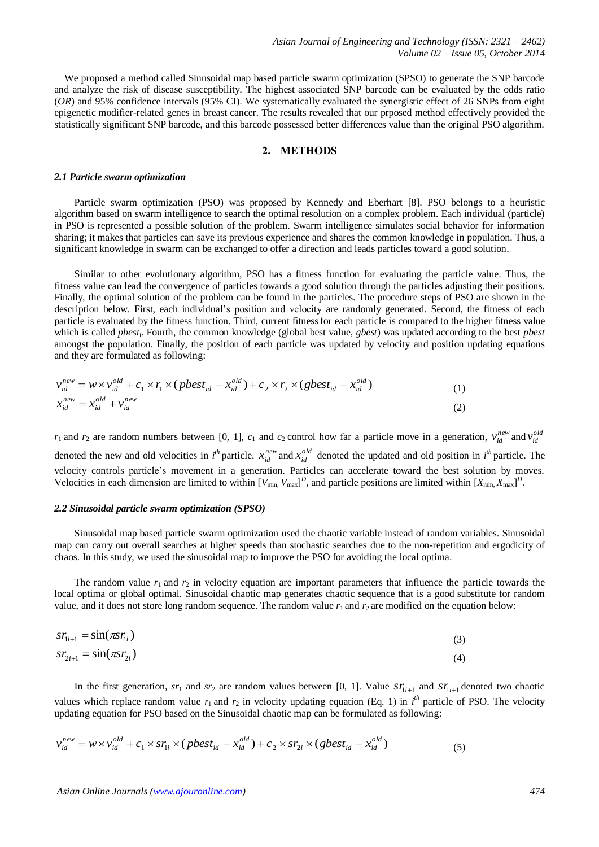We proposed a method called Sinusoidal map based particle swarm optimization (SPSO) to generate the SNP barcode and analyze the risk of disease susceptibility. The highest associated SNP barcode can be evaluated by the odds ratio (*OR*) and 95% confidence intervals (95% CI). We systematically evaluated the synergistic effect of 26 SNPs from eight epigenetic modifier-related genes in breast cancer. The results revealed that our prposed method effectively provided the statistically significant SNP barcode, and this barcode possessed better differences value than the original PSO algorithm.

# **2. METHODS**

#### *2.1 Particle swarm optimization*

Particle swarm optimization (PSO) was proposed by Kennedy and Eberhart [\[8\]](#page-4-4). PSO belongs to a heuristic algorithm based on swarm intelligence to search the optimal resolution on a complex problem. Each individual (particle) in PSO is represented a possible solution of the problem. Swarm intelligence simulates social behavior for information sharing; it makes that particles can save its previous experience and shares the common knowledge in population. Thus, a significant knowledge in swarm can be exchanged to offer a direction and leads particles toward a good solution.

Similar to other evolutionary algorithm, PSO has a fitness function for evaluating the particle value. Thus, the fitness value can lead the convergence of particles towards a good solution through the particles adjusting their positions. Finally, the optimal solution of the problem can be found in the particles. The procedure steps of PSO are shown in the description below. First, each individual's position and velocity are randomly generated. Second, the fitness of each particle is evaluated by the fitness function. Third, current fitness for each particle is compared to the higher fitness value which is called *pbest*<sup>i</sup> . Fourth, the common knowledge (global best value, *gbest*) was updated according to the best *pbest*  amongst the population. Finally, the position of each particle was updated by velocity and position updating equations and they are formulated as following:

$$
v_{id}^{new} = w \times v_{id}^{old} + c_1 \times r_1 \times (pbest_{id} - x_{id}^{old}) + c_2 \times r_2 \times (gbest_{id} - x_{id}^{old})
$$
  
\n
$$
x_{id}^{new} = x_{id}^{old} + v_{id}^{new}
$$
\n(1)

 $r_1$  and  $r_2$  are random numbers between [0, 1],  $c_1$  and  $c_2$  control how far a particle move in a generation,  $v_{id}^{new}$  and  $v_{id}^{old}$ denoted the new and old velocities in  $i^{th}$  particle.  $x_{id}^{new}$  and  $x_{id}^{old}$  denoted the updated and old position in  $i^{th}$  particle. The velocity controls particle's movement in a generation. Particles can accelerate toward the best solution by moves. Velocities in each dimension are limited to within  $[V_{min}, V_{max}]^D$ , and particle positions are limited within  $[X_{min}, X_{max}]^D$ .

## *2.2 Sinusoidal particle swarm optimization (SPSO)*

Sinusoidal map based particle swarm optimization used the chaotic variable instead of random variables. Sinusoidal map can carry out overall searches at higher speeds than stochastic searches due to the non-repetition and ergodicity of chaos. In this study, we used the sinusoidal map to improve the PSO for avoiding the local optima.

The random value  $r_1$  and  $r_2$  in velocity equation are important parameters that influence the particle towards the local optima or global optimal. Sinusoidal chaotic map generates chaotic sequence that is a good substitute for random value, and it does not store long random sequence. The random value  $r_1$  and  $r_2$  are modified on the equation below:

$$
sr_{1i+1} = \sin(\pi s r_{1i})
$$
  
\n
$$
sr_{2i+1} = \sin(\pi s r_{2i})
$$
\n(3)

In the first generation,  $sr_1$  and  $sr_2$  are random values between [0, 1]. Value  $sr_{1i+1}$  and  $sr_{1i+1}$  denoted two chaotic values which replace random value  $r_1$  and  $r_2$  in velocity updating equation (Eq. 1) in  $i^h$  particle of PSO. The velocity updating equation for PSO based on the Sinusoidal chaotic map can be formulated as following:

$$
v_{id}^{new} = w \times v_{id}^{old} + c_1 \times sr_{li} \times (pbest_{id} - x_{id}^{old}) + c_2 \times sr_{2i} \times (gbest_{id} - x_{id}^{old})
$$
\n
$$
\tag{5}
$$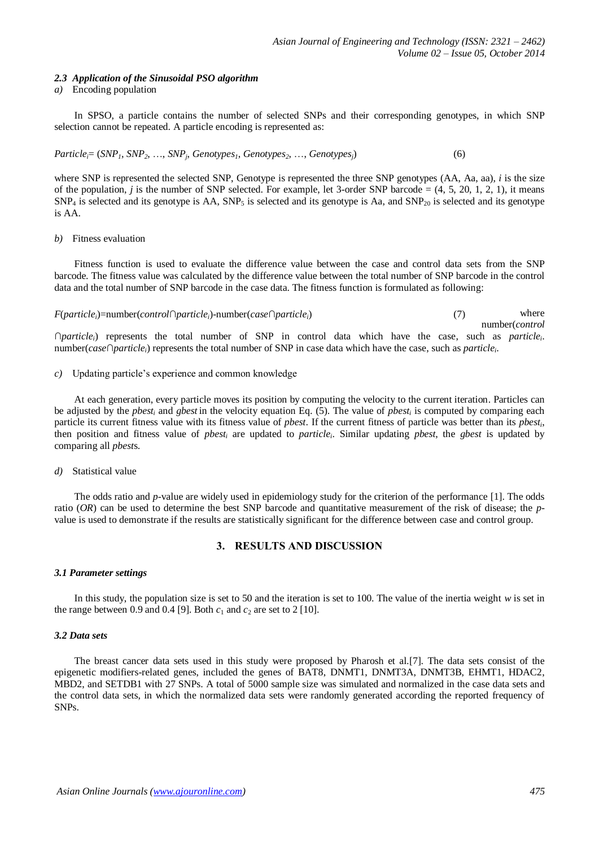## *2.3 Application of the Sinusoidal PSO algorithm*

## *a)* Encoding population

In SPSO, a particle contains the number of selected SNPs and their corresponding genotypes, in which SNP selection cannot be repeated. A particle encoding is represented as:

*Particlei*= (*SNP1*, *SNP2*, …, *SNP<sup>j</sup>* , *Genotypes1*, *Genotypes2*, …, *Genotypesj*) (6)

where SNP is represented the selected SNP, Genotype is represented the three SNP genotypes (AA, Aa, aa), *i* is the size of the population, *j* is the number of SNP selected. For example, let 3-order SNP barcode  $= (4, 5, 20, 1, 2, 1)$ , it means  $SNP_4$  is selected and its genotype is AA,  $SNP_5$  is selected and its genotype is Aa, and  $SNP_{20}$  is selected and its genotype is AA.

## *b)* Fitness evaluation

Fitness function is used to evaluate the difference value between the case and control data sets from the SNP barcode. The fitness value was calculated by the difference value between the total number of SNP barcode in the control data and the total number of SNP barcode in the case data. The fitness function is formulated as following:

where number(*control* ∩*particlei*) represents the total number of SNP in control data which have the case, such as *particle<sup>i</sup>* . number(*case*∩*particlei*) represents the total number of SNP in case data which have the case, such as *particle<sup>i</sup>* . *F*(*particlei*)=number(*control*∩*particlei*)-number(*case*∩*particlei*) (7)

## *c)* Updating particle's experience and common knowledge

At each generation, every particle moves its position by computing the velocity to the current iteration. Particles can be adjusted by the *pbest<sup>i</sup>* and *gbest* in the velocity equation Eq. (5). The value of *pbest<sup>i</sup>* is computed by comparing each particle its current fitness value with its fitness value of *pbest*. If the current fitness of particle was better than its *pbest<sup>i</sup>* , then position and fitness value of *pbest<sup>i</sup>* are updated to *particle<sup>i</sup>* . Similar updating *pbest*, the *gbest* is updated by comparing all *pbest*s.

*d)* Statistical value

The odds ratio and *p*-value are widely used in epidemiology study for the criterion of the performance [\[1\]](#page-4-0). The odds ratio (*OR*) can be used to determine the best SNP barcode and quantitative measurement of the risk of disease; the *p*value is used to demonstrate if the results are statistically significant for the difference between case and control group.

# **3. RESULTS AND DISCUSSION**

### *3.1 Parameter settings*

In this study, the population size is set to 50 and the iteration is set to 100. The value of the inertia weight *w* is set in the range between 0.9 and 0.4 [\[9\]](#page-4-5). Both  $c_1$  and  $c_2$  are set to 2 [\[10\]](#page-4-6).

# *3.2 Data sets*

The breast cancer data sets used in this study were proposed by Pharosh et al.[\[7\]](#page-4-3). The data sets consist of the epigenetic modifiers-related genes, included the genes of BAT8, DNMT1, DNMT3A, DNMT3B, EHMT1, HDAC2, MBD2, and SETDB1 with 27 SNPs. A total of 5000 sample size was simulated and normalized in the case data sets and the control data sets, in which the normalized data sets were randomly generated according the reported frequency of SNPs.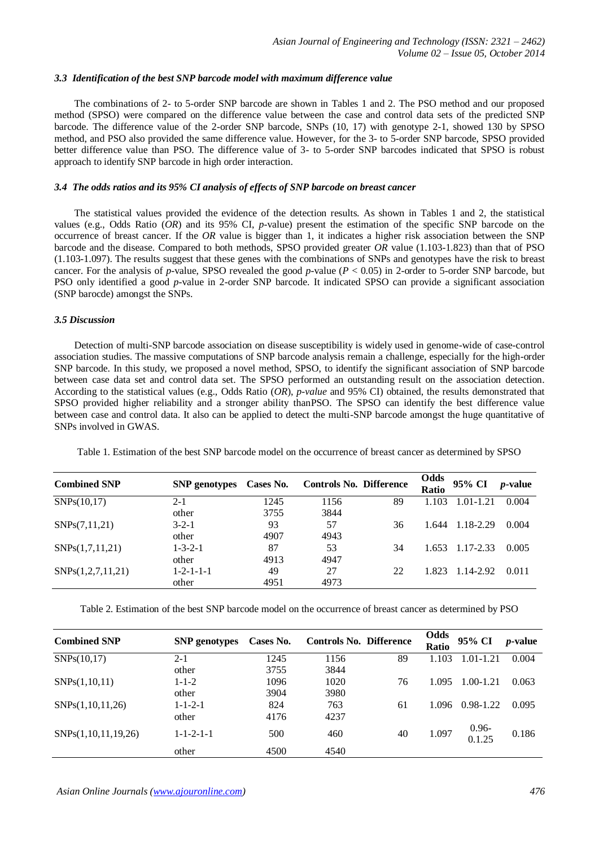## *3.3 Identification of the best SNP barcode model with maximum difference value*

The combinations of 2- to 5-order SNP barcode are shown in Tables 1 and 2. The PSO method and our proposed method (SPSO) were compared on the difference value between the case and control data sets of the predicted SNP barcode. The difference value of the 2-order SNP barcode, SNPs (10, 17) with genotype 2-1, showed 130 by SPSO method, and PSO also provided the same difference value. However, for the 3- to 5-order SNP barcode, SPSO provided better difference value than PSO. The difference value of 3- to 5-order SNP barcodes indicated that SPSO is robust approach to identify SNP barcode in high order interaction.

## *3.4 The odds ratios and its 95% CI analysis of effects of SNP barcode on breast cancer*

The statistical values provided the evidence of the detection results. As shown in Tables 1 and 2, the statistical values (e.g., Odds Ratio (*OR*) and its 95% CI, *p-*value) present the estimation of the specific SNP barcode on the occurrence of breast cancer. If the *OR* value is bigger than 1, it indicates a higher risk association between the SNP barcode and the disease. Compared to both methods, SPSO provided greater *OR* value (1.103-1.823) than that of PSO (1.103-1.097). The results suggest that these genes with the combinations of SNPs and genotypes have the risk to breast cancer. For the analysis of *p*-value, SPSO revealed the good *p-*value (*P* < 0.05) in 2-order to 5-order SNP barcode, but PSO only identified a good *p*-value in 2-order SNP barcode. It indicated SPSO can provide a significant association (SNP barocde) amongst the SNPs.

# *3.5 Discussion*

Detection of multi-SNP barcode association on disease susceptibility is widely used in genome-wide of case-control association studies. The massive computations of SNP barcode analysis remain a challenge, especially for the high-order SNP barcode. In this study, we proposed a novel method, SPSO, to identify the significant association of SNP barcode between case data set and control data set. The SPSO performed an outstanding result on the association detection. According to the statistical values (e.g., Odds Ratio (*OR*), *p-value* and 95% CI) obtained, the results demonstrated that SPSO provided higher reliability and a stronger ability thanPSO. The SPSO can identify the best difference value between case and control data. It also can be applied to detect the multi-SNP barcode amongst the huge quantitative of SNPs involved in GWAS.

| <b>Combined SNP</b> | <b>SNP</b> genotypes | Cases No. | <b>Controls No. Difference</b> |    | Odds<br><b>Ratio</b> | 95% CI          | <i>p</i> -value |
|---------------------|----------------------|-----------|--------------------------------|----|----------------------|-----------------|-----------------|
| SNPs(10,17)         | $2 - 1$              | 1245      | 1156                           | 89 | 1.103                | $1.01 - 1.21$   | 0.004           |
|                     | other                | 3755      | 3844                           |    |                      |                 |                 |
| SNPs(7,11,21)       | $3 - 2 - 1$          | 93        | 57                             | 36 | 1.644                | 1.18-2.29       | 0.004           |
|                     | other                | 4907      | 4943                           |    |                      |                 |                 |
| SNPs(1,7,11,21)     | $1 - 3 - 2 - 1$      | 87        | 53                             | 34 |                      | 1.653 1.17-2.33 | 0.005           |
|                     | other                | 4913      | 4947                           |    |                      |                 |                 |
| SNPs(1,2,7,11,21)   | $1 - 2 - 1 - 1 - 1$  | 49        | 27                             | 22 | 1.823                | 1.14-2.92       | 0.011           |
|                     | other                | 4951      | 4973                           |    |                      |                 |                 |

Table 1. Estimation of the best SNP barcode model on the occurrence of breast cancer as determined by SPSO

Table 2. Estimation of the best SNP barcode model on the occurrence of breast cancer as determined by PSO

| <b>Combined SNP</b> | <b>SNP</b> genotypes | Cases No. | <b>Controls No. Difference</b> |    | Odds<br><b>Ratio</b> | 95% CI             | $p$ -value |
|---------------------|----------------------|-----------|--------------------------------|----|----------------------|--------------------|------------|
| SNPs(10,17)         | $2 - 1$              | 1245      | 1156                           | 89 | 1.103                | 1.01-1.21          | 0.004      |
|                     | other                | 3755      | 3844                           |    |                      |                    |            |
| SNPs(1,10,11)       | $1 - 1 - 2$          | 1096      | 1020                           | 76 | 1.095                | $1.00 - 1.21$      | 0.063      |
|                     | other                | 3904      | 3980                           |    |                      |                    |            |
| SNPs(1,10,11,26)    | $1 - 1 - 2 - 1$      | 824       | 763                            | 61 | 1.096                | 0.98-1.22          | 0.095      |
|                     | other                | 4176      | 4237                           |    |                      |                    |            |
| SNPs(1,10,11,19,26) | $1 - 1 - 2 - 1 - 1$  | 500       | 460                            | 40 | 1.097                | $0.96 -$<br>0.1.25 | 0.186      |
|                     | other                | 4500      | 4540                           |    |                      |                    |            |